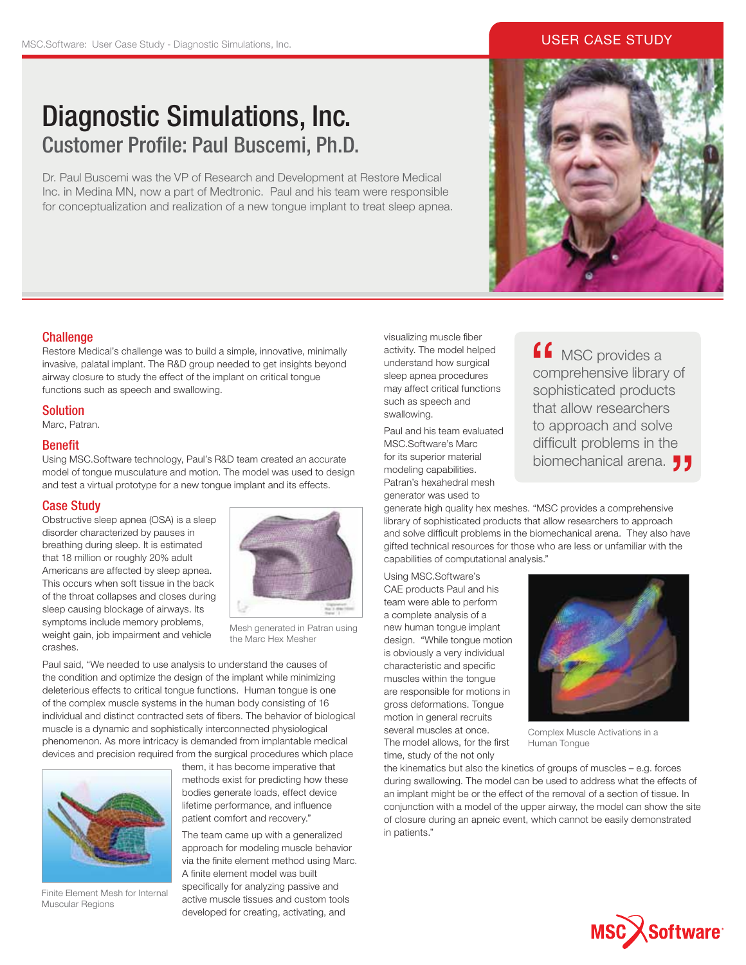# Diagnostic Simulations, Inc. Customer Profile: Paul Buscemi, Ph.D.

Dr. Paul Buscemi was the VP of Research and Development at Restore Medical Inc. in Medina MN, now a part of Medtronic. Paul and his team were responsible for conceptualization and realization of a new tongue implant to treat sleep apnea.



# **Challenge**

Restore Medical's challenge was to build a simple, innovative, minimally invasive, palatal implant. The R&D group needed to get insights beyond airway closure to study the effect of the implant on critical tongue functions such as speech and swallowing.

# Solution

Marc, Patran.

# Benefit

Using MSC.Software technology, Paul's R&D team created an accurate model of tongue musculature and motion. The model was used to design and test a virtual prototype for a new tongue implant and its effects.

# Case Study

Obstructive sleep apnea (OSA) is a sleep disorder characterized by pauses in breathing during sleep. It is estimated that 18 million or roughly 20% adult Americans are affected by sleep apnea. This occurs when soft tissue in the back of the throat collapses and closes during sleep causing blockage of airways. Its symptoms include memory problems, weight gain, job impairment and vehicle crashes.



Mesh generated in Patran using the Marc Hex Mesher

Paul said, "We needed to use analysis to understand the causes of the condition and optimize the design of the implant while minimizing deleterious effects to critical tongue functions. Human tongue is one of the complex muscle systems in the human body consisting of 16 individual and distinct contracted sets of fibers. The behavior of biological muscle is a dynamic and sophistically interconnected physiological phenomenon. As more intricacy is demanded from implantable medical devices and precision required from the surgical procedures which place



Finite Element Mesh for Internal Muscular Regions

them, it has become imperative that methods exist for predicting how these bodies generate loads, effect device lifetime performance, and influence patient comfort and recovery."

The team came up with a generalized approach for modeling muscle behavior via the finite element method using Marc. A finite element model was built specifically for analyzing passive and active muscle tissues and custom tools developed for creating, activating, and

visualizing muscle fiber activity. The model helped understand how surgical sleep apnea procedures may affect critical functions such as speech and swallowing.

Paul and his team evaluated MSC.Software's Marc for its superior material modeling capabilities. Patran's hexahedral mesh generator was used to

**f** MSC provides a comprehensive library of sophisticated products that allow researchers to approach and solve difficult problems in the biomechanical arena.  $\blacksquare$ 

generate high quality hex meshes. "MSC provides a comprehensive library of sophisticated products that allow researchers to approach and solve difficult problems in the biomechanical arena. They also have gifted technical resources for those who are less or unfamiliar with the capabilities of computational analysis."

Using MSC.Software's CAE products Paul and his team were able to perform a complete analysis of a new human tongue implant design. "While tongue motion is obviously a very individual characteristic and specific muscles within the tongue are responsible for motions in gross deformations. Tongue motion in general recruits several muscles at once. The model allows, for the first time, study of the not only



Complex Muscle Activations in a Human Tongue

the kinematics but also the kinetics of groups of muscles – e.g. forces during swallowing. The model can be used to address what the effects of an implant might be or the effect of the removal of a section of tissue. In conjunction with a model of the upper airway, the model can show the site of closure during an apneic event, which cannot be easily demonstrated in patients."